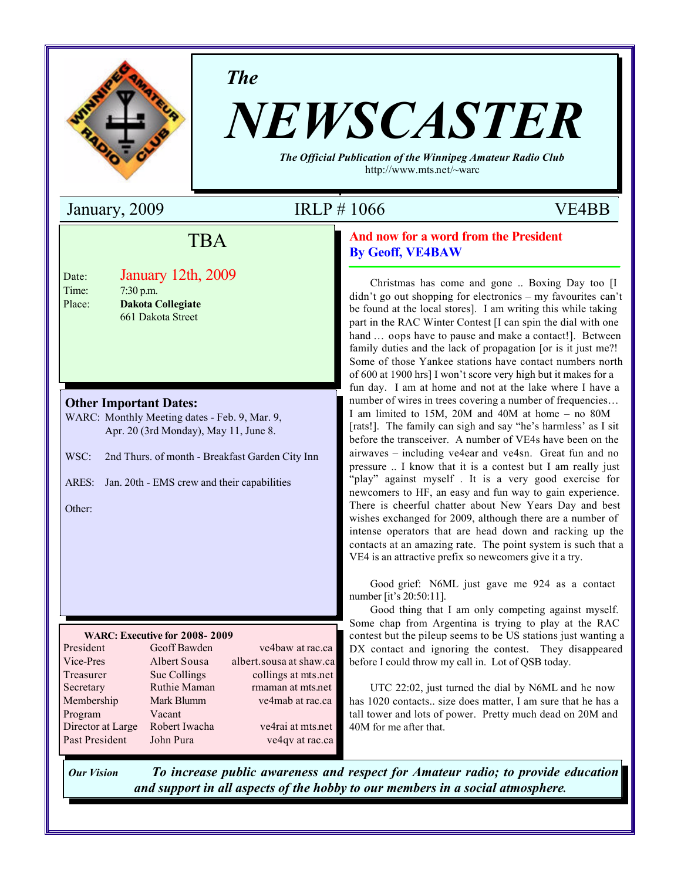

*The*

# *NEWSCASTER*

*The Official Publication of the Winnipeg Amateur Radio Club* http://www.mts.net/~warc

January, 2009 IRLP # 1066 VE4BB

# **Field Trip** TBA

| Date:  |  |
|--------|--|
| Time:  |  |
| Place: |  |

**ELECTRIC LOCAL BURGERY 12th 2000 EXAMPLE 2005**<br>P.M. Place: **Dakota Collegiate Engineering and Information Technology** Date: January 12th, 2009 7:30 p.m.

### **Other Important Dates:**

WARC: Monthly Meeting dates - Feb. 9, Mar. 9, Apr. 20 (3rd Monday), May 11, June 8.

WSC: 2nd Thurs. of month - Breakfast Garden City Inn

ARES: Jan. 20th - EMS crew and their capabilities

Other:

### **WARC: Executive for 2008- 2009**

| President         | Geoff Bawden  | ve4baw at rac.ca        |
|-------------------|---------------|-------------------------|
| Vice-Pres         | Albert Sousa  | albert.sousa at shaw.ca |
| Treasurer         | Sue Collings  | collings at mts.net     |
| Secretary         | Ruthie Maman  | rmaman at mts.net       |
| Membership        | Mark Blumm    | ve4mab at rac.ca        |
| Program           | Vacant        |                         |
| Director at Large | Robert Iwacha | ve4rai at mts.net       |
| Past President    | John Pura     | ve4qv at rac.ca         |
|                   |               |                         |

**And now for a word from the President By Geoff, VE4BAW**

Christmas has come and gone .. Boxing Day too [I didn't go out shopping for electronics – my favourites can't be found at the local stores]. I am writing this while taking part in the RAC Winter Contest [I can spin the dial with one hand ... oops have to pause and make a contact!]. Between family duties and the lack of propagation [or is it just me?! Some of those Yankee stations have contact numbers north of 600 at 1900 hrs] I won't score very high but it makes for a fun day. I am at home and not at the lake where I have a number of wires in trees covering a number of frequencies... I am limited to 15M, 20M and 40M at home – no 80M [rats!]. The family can sigh and say "he's harmless' as I sit before the transceiver. A number of VE4s have been on the airwaves – including ve4ear and ve4sn. Great fun and no pressure .. I know that it is a contest but I am really just "play" against myself . It is a very good exercise for newcomers to HF, an easy and fun way to gain experience. There is cheerful chatter about New Years Day and best wishes exchanged for 2009, although there are a number of intense operators that are head down and racking up the contacts at an amazing rate. The point system is such that a VE4 is an attractive prefix so newcomers give it a try.

Good grief: N6ML just gave me 924 as a contact number [it's 20:50:11].

Good thing that I am only competing against myself. Some chap from Argentina is trying to play at the RAC contest but the pileup seems to be US stations just wanting a DX contact and ignoring the contest. They disappeared before I could throw my call in. Lot of QSB today.

UTC 22:02, just turned the dial by N6ML and he now has 1020 contacts.. size does matter, I am sure that he has a tall tower and lots of power. Pretty much dead on 20M and 40M for me after that.

*Our Vision To increase public awareness and respect for Amateur radio; to provide education and support in all aspects of the hobby to our members in a social atmosphere.*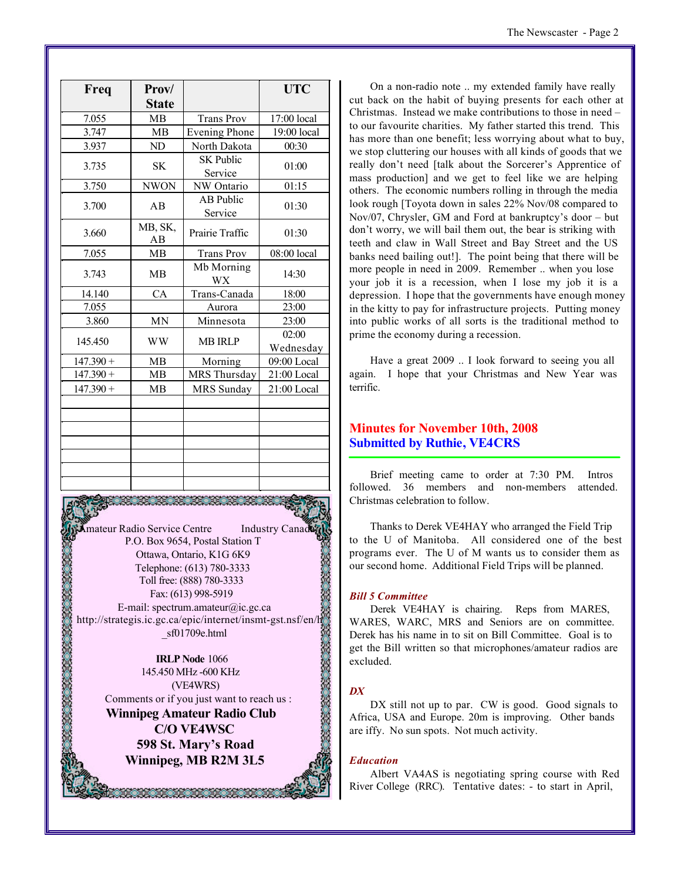| Freq        | Prov/         |                             | <b>UTC</b>         |
|-------------|---------------|-----------------------------|--------------------|
|             | <b>State</b>  |                             |                    |
| 7.055       | <b>MB</b>     | <b>Trans Prov</b>           | 17:00 local        |
| 3.747       | MB            | <b>Evening Phone</b>        | 19:00 local        |
| 3.937       | ND            | North Dakota                | 00:30              |
| 3.735       | <b>SK</b>     | <b>SK Public</b><br>Service | 01:00              |
| 3.750       | <b>NWON</b>   | NW Ontario                  | 01:15              |
| 3.700       | AB            | <b>AB Public</b><br>Service | 01:30              |
| 3.660       | MB, SK,<br>AB | Prairie Traffic             | 01:30              |
| 7.055       | MB            | <b>Trans Prov</b>           | 08:00 local        |
| 3.743       | <b>MB</b>     | Mb Morning<br><b>WX</b>     | 14:30              |
| 14.140      | CA            | Trans-Canada                | 18:00              |
| 7.055       |               | Aurora                      | 23:00              |
| 3.860       | <b>MN</b>     | Minnesota                   | 23:00              |
| 145.450     | <b>WW</b>     | <b>MB IRLP</b>              | 02:00<br>Wednesday |
| $147.390 +$ | <b>MB</b>     | Morning                     | 09:00 Local        |
| $147.390 +$ | MB            | MRS Thursday                | 21:00 Local        |
| $147.390 +$ | <b>MB</b>     | <b>MRS</b> Sunday           | 21:00 Local        |
|             |               |                             |                    |
|             |               |                             |                    |
|             |               |                             |                    |
|             |               |                             |                    |
|             |               |                             |                    |
|             |               |                             |                    |
|             |               |                             |                    |

**Amateur Radio Service Centre** Industry Canad P.O. Box 9654, Postal Station T Ottawa, Ontario, K1G 6K9 Telephone: (613) 780-3333 Toll free: (888) 780-3333 Fax: (613) 998-5919 E-mail: spectrum.amateur@ic.gc.ca http://strategis.ic.gc.ca/epic/internet/insmt-gst.nsf/en/h \_sf01709e.html

**IRLP Node** 1066 145.450 MHz -600 KHz (VE4WRS) Comments or if you just want to reach us :

**Winnipeg Amateur Radio Club C/O VE4WSC 598 St. Mary's Road Winnipeg, MB R2M 3L5**

38. 38. 38. 38. 39

On a non-radio note .. my extended family have really cut back on the habit of buying presents for each other at Christmas. Instead we make contributions to those in need – to our favourite charities. My father started this trend. This has more than one benefit; less worrying about what to buy, we stop cluttering our houses with all kinds of goods that we really don't need [talk about the Sorcerer's Apprentice of mass production] and we get to feel like we are helping others. The economic numbers rolling in through the media look rough [Toyota down in sales 22% Nov/08 compared to Nov/07, Chrysler, GM and Ford at bankruptcy's door – but don't worry, we will bail them out, the bear is striking with teeth and claw in Wall Street and Bay Street and the US banks need bailing out!]. The point being that there will be more people in need in 2009. Remember .. when you lose your job it is a recession, when I lose my job it is a depression. I hope that the governments have enough money in the kitty to pay for infrastructure projects. Putting money into public works of all sorts is the traditional method to prime the economy during a recession.

Have a great 2009 .. I look forward to seeing you all again. I hope that your Christmas and New Year was terrific.

### **Minutes for November 10th, 2008 Submitted by Ruthie, VE4CRS**

Brief meeting came to order at 7:30 PM. Intros followed. 36 members and non-members attended. Christmas celebration to follow.

Thanks to Derek VE4HAY who arranged the Field Trip to the U of Manitoba. All considered one of the best programs ever. The U of M wants us to consider them as our second home. Additional Field Trips will be planned.

### *Bill 5 Committee*

Derek VE4HAY is chairing. Reps from MARES, WARES, WARC, MRS and Seniors are on committee. Derek has his name in to sit on Bill Committee. Goal is to get the Bill written so that microphones/amateur radios are excluded.

### *DX*

DX still not up to par. CW is good. Good signals to Africa, USA and Europe. 20m is improving. Other bands are iffy. No sun spots. Not much activity.

### *Education*

Albert VA4AS is negotiating spring course with Red River College (RRC). Tentative dates: - to start in April,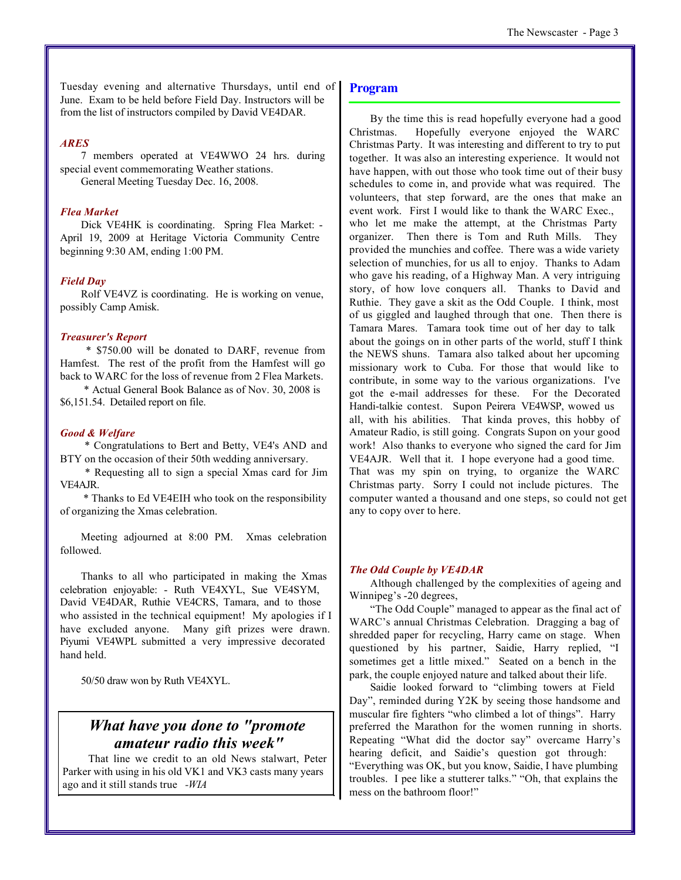Tuesday evening and alternative Thursdays, until end of June. Exam to be held before Field Day. Instructors will be from the list of instructors compiled by David VE4DAR.

### *ARES*

7 members operated at VE4WWO 24 hrs. during special event commemorating Weather stations.

General Meeting Tuesday Dec. 16, 2008.

### *Flea Market*

Dick VE4HK is coordinating. Spring Flea Market: - April 19, 2009 at Heritage Victoria Community Centre beginning 9:30 AM, ending 1:00 PM.

### *Field Day*

Rolf VE4VZ is coordinating. He is working on venue, possibly Camp Amisk.

### *Treasurer's Report*

 \* \$750.00 will be donated to DARF, revenue from Hamfest. The rest of the profit from the Hamfest will go back to WARC for the loss of revenue from 2 Flea Markets.

 \* Actual General Book Balance as of Nov. 30, 2008 is \$6,151.54. Detailed report on file.

### *Good & Welfare*

 \* Congratulations to Bert and Betty, VE4's AND and BTY on the occasion of their 50th wedding anniversary.

 \* Requesting all to sign a special Xmas card for Jim VE4AJR.

 \* Thanks to Ed VE4EIH who took on the responsibility of organizing the Xmas celebration.

Meeting adjourned at 8:00 PM. Xmas celebration followed.

Thanks to all who participated in making the Xmas celebration enjoyable: - Ruth VE4XYL, Sue VE4SYM, David VE4DAR, Ruthie VE4CRS, Tamara, and to those who assisted in the technical equipment! My apologies if I have excluded anyone. Many gift prizes were drawn. Piyumi VE4WPL submitted a very impressive decorated hand held.

50/50 draw won by Ruth VE4XYL.

## *What have you done to "promote amateur radio this week"*

 That line we credit to an old News stalwart, Peter Parker with using in his old VK1 and VK3 casts many years ago and it still stands true *-WIA*

### **Program**

By the time this is read hopefully everyone had a good Christmas. Hopefully everyone enjoyed the WARC Christmas Party. It was interesting and different to try to put together. It was also an interesting experience. It would not have happen, with out those who took time out of their busy schedules to come in, and provide what was required. The volunteers, that step forward, are the ones that make an event work. First I would like to thank the WARC Exec., who let me make the attempt, at the Christmas Party organizer. Then there is Tom and Ruth Mills. They provided the munchies and coffee. There was a wide variety selection of munchies, for us all to enjoy. Thanks to Adam who gave his reading, of a Highway Man. A very intriguing story, of how love conquers all. Thanks to David and Ruthie. They gave a skit as the Odd Couple. I think, most of us giggled and laughed through that one. Then there is Tamara Mares. Tamara took time out of her day to talk about the goings on in other parts of the world, stuff I think the NEWS shuns. Tamara also talked about her upcoming missionary work to Cuba. For those that would like to contribute, in some way to the various organizations. I've got the e-mail addresses for these. For the Decorated Handi-talkie contest. Supon Peirera VE4WSP, wowed us all, with his abilities. That kinda proves, this hobby of Amateur Radio, is still going. Congrats Supon on your good work! Also thanks to everyone who signed the card for Jim VE4AJR. Well that it. I hope everyone had a good time. That was my spin on trying, to organize the WARC Christmas party. Sorry I could not include pictures. The computer wanted a thousand and one steps, so could not get any to copy over to here.

### *The Odd Couple by VE4DAR*

Although challenged by the complexities of ageing and Winnipeg's -20 degrees,

"The Odd Couple" managed to appear as the final act of WARC's annual Christmas Celebration. Dragging a bag of shredded paper for recycling, Harry came on stage. When questioned by his partner, Saidie, Harry replied, "I sometimes get a little mixed." Seated on a bench in the park, the couple enjoyed nature and talked about their life.

Saidie looked forward to "climbing towers at Field Day", reminded during Y2K by seeing those handsome and muscular fire fighters "who climbed a lot of things". Harry preferred the Marathon for the women running in shorts. Repeating "What did the doctor say" overcame Harry's hearing deficit, and Saidie's question got through: "Everything was OK, but you know, Saidie, I have plumbing troubles. I pee like a stutterer talks." "Oh, that explains the mess on the bathroom floor!"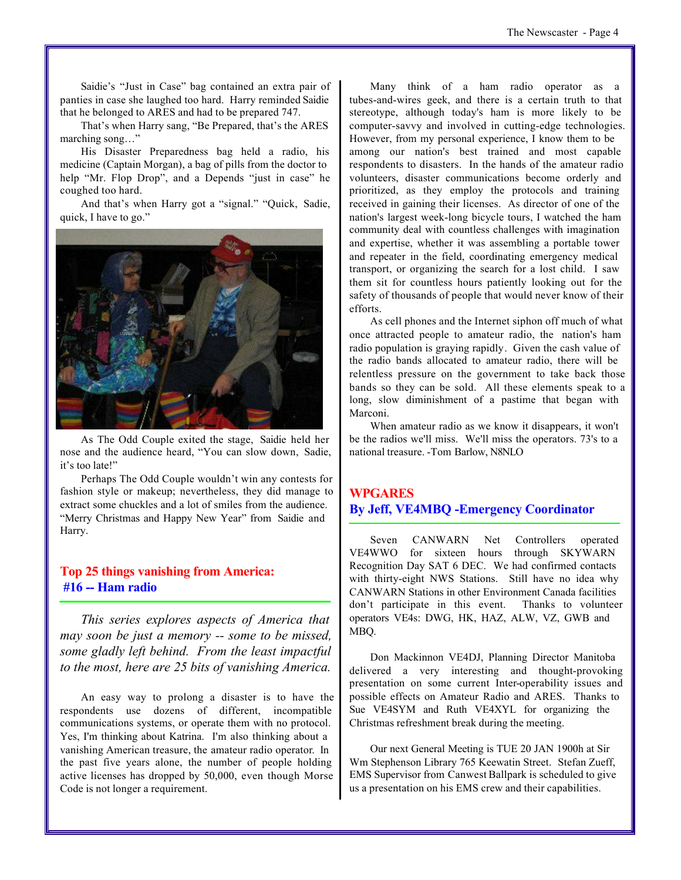Saidie's "Just in Case" bag contained an extra pair of panties in case she laughed too hard. Harry reminded Saidie that he belonged to ARES and had to be prepared 747.

That's when Harry sang, "Be Prepared, that's the ARES marching song…"

His Disaster Preparedness bag held a radio, his medicine (Captain Morgan), a bag of pills from the doctor to help "Mr. Flop Drop", and a Depends "just in case" he coughed too hard.

And that's when Harry got a "signal." "Quick, Sadie, quick, I have to go."



As The Odd Couple exited the stage, Saidie held her nose and the audience heard, "You can slow down, Sadie, it's too late!"

Perhaps The Odd Couple wouldn't win any contests for fashion style or makeup; nevertheless, they did manage to extract some chuckles and a lot of smiles from the audience. "Merry Christmas and Happy New Year" from Saidie and Harry.

### **Top 25 things vanishing from America: #16 -- Ham radio**

*This series explores aspects of America that may soon be just a memory -- some to be missed, some gladly left behind. From the least impactful to the most, here are 25 bits of vanishing America.*

An easy way to prolong a disaster is to have the respondents use dozens of different, incompatible communications systems, or operate them with no protocol. Yes, I'm thinking about Katrina. I'm also thinking about a vanishing American treasure, the amateur radio operator. In the past five years alone, the number of people holding active licenses has dropped by 50,000, even though Morse Code is not longer a requirement.

Many think of a ham radio operator as a tubes-and-wires geek, and there is a certain truth to that stereotype, although today's ham is more likely to be computer-savvy and involved in cutting-edge technologies. However, from my personal experience, I know them to be among our nation's best trained and most capable respondents to disasters. In the hands of the amateur radio volunteers, disaster communications become orderly and prioritized, as they employ the protocols and training received in gaining their licenses. As director of one of the nation's largest week-long bicycle tours, I watched the ham community deal with countless challenges with imagination and expertise, whether it was assembling a portable tower and repeater in the field, coordinating emergency medical transport, or organizing the search for a lost child. I saw them sit for countless hours patiently looking out for the safety of thousands of people that would never know of their efforts.

As cell phones and the Internet siphon off much of what once attracted people to amateur radio, the nation's ham radio population is graying rapidly. Given the cash value of the radio bands allocated to amateur radio, there will be relentless pressure on the government to take back those bands so they can be sold. All these elements speak to a long, slow diminishment of a pastime that began with Marconi.

When amateur radio as we know it disappears, it won't be the radios we'll miss. We'll miss the operators. 73's to a national treasure. -Tom Barlow, N8NLO

### **WPGARES By Jeff, VE4MBQ -Emergency Coordinator**

Seven CANWARN Net Controllers operated VE4WWO for sixteen hours through SKYWARN Recognition Day SAT 6 DEC. We had confirmed contacts with thirty-eight NWS Stations. Still have no idea why CANWARN Stations in other Environment Canada facilities don't participate in this event. Thanks to volunteer operators VE4s: DWG, HK, HAZ, ALW, VZ, GWB and MBQ.

Don Mackinnon VE4DJ, Planning Director Manitoba delivered a very interesting and thought-provoking presentation on some current Inter-operability issues and possible effects on Amateur Radio and ARES. Thanks to Sue VE4SYM and Ruth VE4XYL for organizing the Christmas refreshment break during the meeting.

Our next General Meeting is TUE 20 JAN 1900h at Sir Wm Stephenson Library 765 Keewatin Street. Stefan Zueff, EMS Supervisor from Canwest Ballpark is scheduled to give us a presentation on his EMS crew and their capabilities.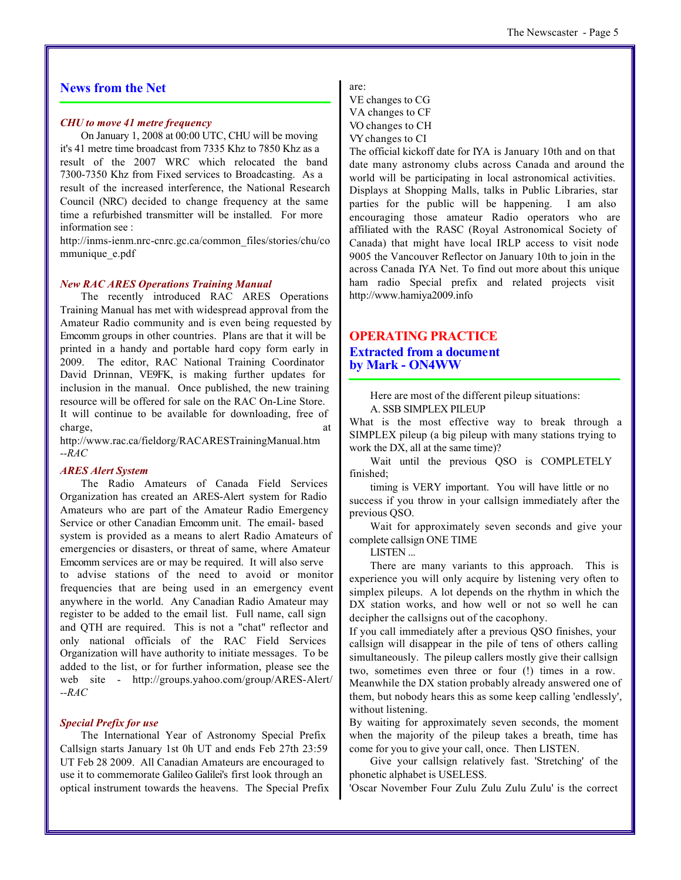### **News from the Net**

### *CHU to move 41 metre frequency*

On January 1, 2008 at 00:00 UTC, CHU will be moving it's 41 metre time broadcast from 7335 Khz to 7850 Khz as a result of the 2007 WRC which relocated the band 7300-7350 Khz from Fixed services to Broadcasting. As a result of the increased interference, the National Research Council (NRC) decided to change frequency at the same time a refurbished transmitter will be installed. For more information see :

http://inms-ienm.nrc-cnrc.gc.ca/common\_files/stories/chu/co mmunique e.pdf

### *New RAC ARES Operations Training Manual*

The recently introduced RAC ARES Operations Training Manual has met with widespread approval from the Amateur Radio community and is even being requested by Emcomm groups in other countries. Plans are that it will be printed in a handy and portable hard copy form early in 2009. The editor, RAC National Training Coordinator David Drinnan, VE9FK, is making further updates for inclusion in the manual. Once published, the new training resource will be offered for sale on the RAC On-Line Store. It will continue to be available for downloading, free of charge, at  $\alpha$ 

http://www.rac.ca/fieldorg/RACARESTrainingManual.htm *--RAC*

### *ARES Alert System*

The Radio Amateurs of Canada Field Services Organization has created an ARES-Alert system for Radio Amateurs who are part of the Amateur Radio Emergency Service or other Canadian Emcomm unit. The email- based system is provided as a means to alert Radio Amateurs of emergencies or disasters, or threat of same, where Amateur Emcomm services are or may be required. It will also serve to advise stations of the need to avoid or monitor frequencies that are being used in an emergency event anywhere in the world. Any Canadian Radio Amateur may register to be added to the email list. Full name, call sign and QTH are required. This is not a "chat" reflector and only national officials of the RAC Field Services Organization will have authority to initiate messages. To be added to the list, or for further information, please see the web site - http://groups.yahoo.com/group/ARES-Alert/ *--RAC*

### *Special Prefix for use*

The International Year of Astronomy Special Prefix Callsign starts January 1st 0h UT and ends Feb 27th 23:59 UT Feb 28 2009. All Canadian Amateurs are encouraged to use it to commemorate Galileo Galilei's first look through an optical instrument towards the heavens. The Special Prefix are:

VE changes to CG VA changes to CF VO changes to CH

VY changes to CI

The official kickoff date for IYA is January 10th and on that date many astronomy clubs across Canada and around the world will be participating in local astronomical activities. Displays at Shopping Malls, talks in Public Libraries, star parties for the public will be happening. I am also encouraging those amateur Radio operators who are affiliated with the RASC (Royal Astronomical Society of Canada) that might have local IRLP access to visit node 9005 the Vancouver Reflector on January 10th to join in the across Canada IYA Net. To find out more about this unique ham radio Special prefix and related projects visit http://www.hamiya2009.info

### **OPERATING PRACTICE**

### **Extracted from a document by Mark - ON4WW**

Here are most of the different pileup situations: A. SSB SIMPLEX PILEUP

What is the most effective way to break through a SIMPLEX pileup (a big pileup with many stations trying to work the DX, all at the same time)?

Wait until the previous QSO is COMPLETELY finished;

timing is VERY important. You will have little or no success if you throw in your callsign immediately after the previous QSO.

Wait for approximately seven seconds and give your complete callsign ONE TIME

LISTEN ...

There are many variants to this approach. This is experience you will only acquire by listening very often to simplex pileups. A lot depends on the rhythm in which the DX station works, and how well or not so well he can decipher the callsigns out of the cacophony.

If you call immediately after a previous QSO finishes, your callsign will disappear in the pile of tens of others calling simultaneously. The pileup callers mostly give their callsign two, sometimes even three or four (!) times in a row.

Meanwhile the DX station probably already answered one of them, but nobody hears this as some keep calling 'endlessly', without listening.

By waiting for approximately seven seconds, the moment when the majority of the pileup takes a breath, time has come for you to give your call, once. Then LISTEN.

Give your callsign relatively fast. 'Stretching' of the phonetic alphabet is USELESS.

'Oscar November Four Zulu Zulu Zulu Zulu' is the correct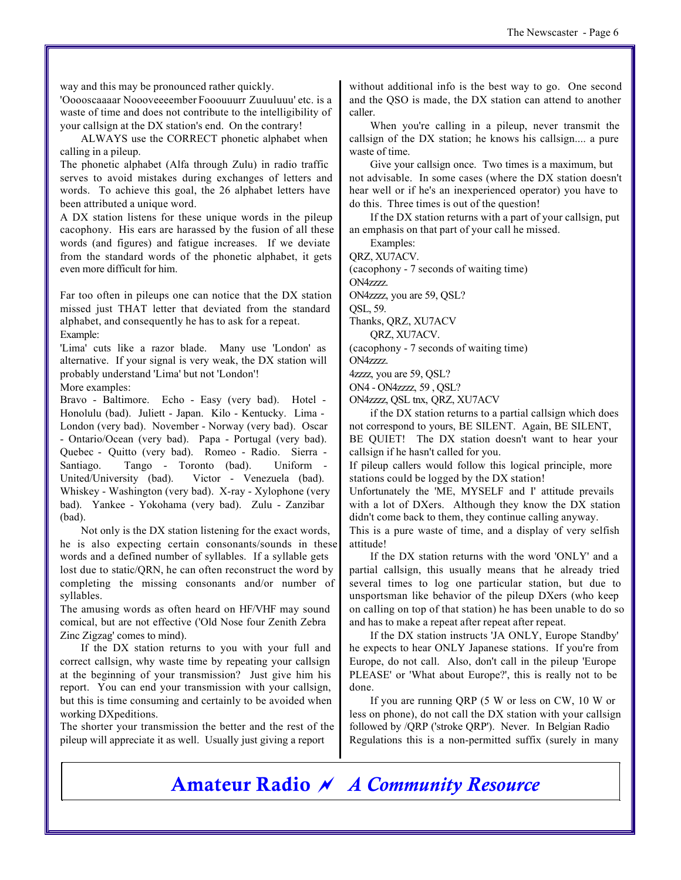way and this may be pronounced rather quickly.

'Ooooscaaaar Noooveeeember Fooouuurr Zuuuluuu' etc. is a waste of time and does not contribute to the intelligibility of your callsign at the DX station's end. On the contrary!

ALWAYS use the CORRECT phonetic alphabet when calling in a pileup.

The phonetic alphabet (Alfa through Zulu) in radio traffic serves to avoid mistakes during exchanges of letters and words. To achieve this goal, the 26 alphabet letters have been attributed a unique word.

A DX station listens for these unique words in the pileup cacophony. His ears are harassed by the fusion of all these words (and figures) and fatigue increases. If we deviate from the standard words of the phonetic alphabet, it gets even more difficult for him.

Far too often in pileups one can notice that the DX station missed just THAT letter that deviated from the standard alphabet, and consequently he has to ask for a repeat. Example:

'Lima' cuts like a razor blade. Many use 'London' as alternative. If your signal is very weak, the DX station will probably understand 'Lima' but not 'London'! More examples:

Bravo - Baltimore. Echo - Easy (very bad). Hotel - Honolulu (bad). Juliett - Japan. Kilo - Kentucky. Lima - London (very bad). November - Norway (very bad). Oscar - Ontario/Ocean (very bad). Papa - Portugal (very bad). Quebec - Quitto (very bad). Romeo - Radio. Sierra - Santiago. Tango - Toronto (bad). Uniform - United/University (bad). Victor - Venezuela (bad). Whiskey - Washington (very bad). X-ray - Xylophone (very bad). Yankee - Yokohama (very bad). Zulu - Zanzibar (bad).

Not only is the DX station listening for the exact words, he is also expecting certain consonants/sounds in these words and a defined number of syllables. If a syllable gets lost due to static/QRN, he can often reconstruct the word by completing the missing consonants and/or number of syllables.

The amusing words as often heard on HF/VHF may sound comical, but are not effective ('Old Nose four Zenith Zebra Zinc Zigzag' comes to mind).

If the DX station returns to you with your full and correct callsign, why waste time by repeating your callsign at the beginning of your transmission? Just give him his report. You can end your transmission with your callsign, but this is time consuming and certainly to be avoided when working DXpeditions.

The shorter your transmission the better and the rest of the pileup will appreciate it as well. Usually just giving a report

without additional info is the best way to go. One second and the QSO is made, the DX station can attend to another caller.

When you're calling in a pileup, never transmit the callsign of the DX station; he knows his callsign.... a pure waste of time.

Give your callsign once. Two times is a maximum, but not advisable. In some cases (where the DX station doesn't hear well or if he's an inexperienced operator) you have to do this. Three times is out of the question!

If the DX station returns with a part of your callsign, put an emphasis on that part of your call he missed.

Examples:

QRZ, XU7ACV.

(cacophony - 7 seconds of waiting time)

ON4zzzz.

ON4zzzz, you are 59, QSL? QSL, 59.

Thanks, QRZ, XU7ACV

QRZ, XU7ACV.

(cacophony - 7 seconds of waiting time) ON4zzzz.

4zzzz, you are 59, QSL?

ON4 - ON4zzzz, 59 , QSL?

ON4zzzz, QSL tnx, QRZ, XU7ACV

if the DX station returns to a partial callsign which does not correspond to yours, BE SILENT. Again, BE SILENT, BE QUIET! The DX station doesn't want to hear your callsign if he hasn't called for you.

If pileup callers would follow this logical principle, more stations could be logged by the DX station!

Unfortunately the 'ME, MYSELF and I' attitude prevails with a lot of DXers. Although they know the DX station didn't come back to them, they continue calling anyway.

This is a pure waste of time, and a display of very selfish attitude!

If the DX station returns with the word 'ONLY' and a partial callsign, this usually means that he already tried several times to log one particular station, but due to unsportsman like behavior of the pileup DXers (who keep on calling on top of that station) he has been unable to do so and has to make a repeat after repeat after repeat.

If the DX station instructs 'JA ONLY, Europe Standby' he expects to hear ONLY Japanese stations. If you're from Europe, do not call. Also, don't call in the pileup 'Europe PLEASE' or 'What about Europe?', this is really not to be done.

If you are running QRP (5 W or less on CW, 10 W or less on phone), do not call the DX station with your callsign followed by /QRP ('stroke QRP'). Never. In Belgian Radio Regulations this is a non-permitted suffix (surely in many

**Amateur Radio** *~ A Community Resource*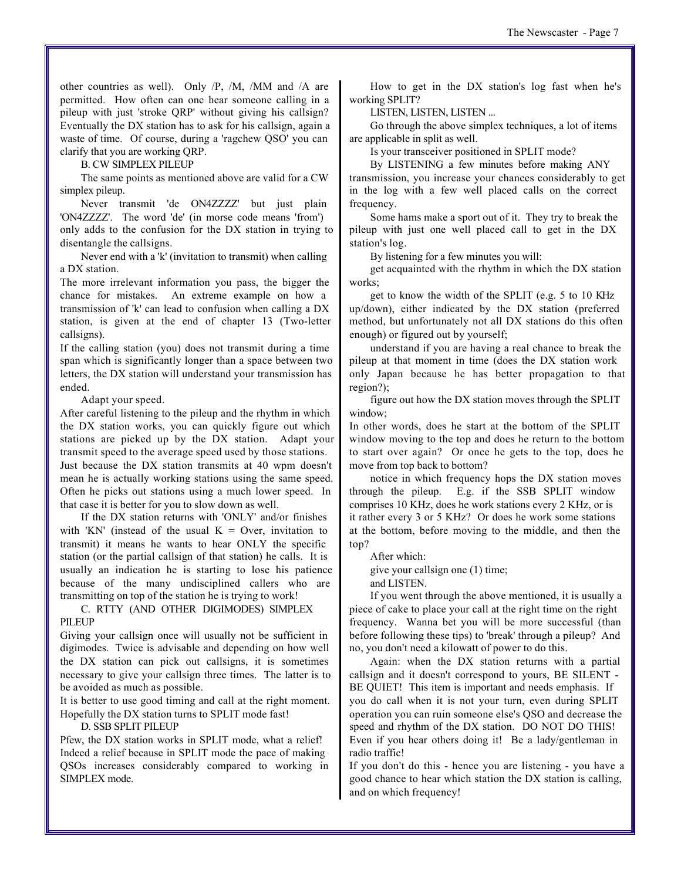other countries as well). Only /P, /M, /MM and /A are permitted. How often can one hear someone calling in a pileup with just 'stroke QRP' without giving his callsign? Eventually the DX station has to ask for his callsign, again a waste of time. Of course, during a 'ragchew QSO' you can clarify that you are working QRP.

B. CW SIMPLEX PILEUP

The same points as mentioned above are valid for a CW simplex pileup.

Never transmit 'de ON4ZZZZ' but just plain 'ON4ZZZZ'. The word 'de' (in morse code means 'from') only adds to the confusion for the DX station in trying to disentangle the callsigns.

Never end with a 'k' (invitation to transmit) when calling a DX station.

The more irrelevant information you pass, the bigger the chance for mistakes. An extreme example on how a transmission of 'k' can lead to confusion when calling a DX station, is given at the end of chapter 13 (Two-letter callsigns).

If the calling station (you) does not transmit during a time span which is significantly longer than a space between two letters, the DX station will understand your transmission has ended.

Adapt your speed.

After careful listening to the pileup and the rhythm in which the DX station works, you can quickly figure out which stations are picked up by the DX station. Adapt your transmit speed to the average speed used by those stations. Just because the DX station transmits at 40 wpm doesn't mean he is actually working stations using the same speed. Often he picks out stations using a much lower speed. In that case it is better for you to slow down as well.

If the DX station returns with 'ONLY' and/or finishes with 'KN' (instead of the usual  $K =$  Over, invitation to transmit) it means he wants to hear ONLY the specific station (or the partial callsign of that station) he calls. It is usually an indication he is starting to lose his patience because of the many undisciplined callers who are transmitting on top of the station he is trying to work!

C. RTTY (AND OTHER DIGIMODES) SIMPLEX PILEUP

Giving your callsign once will usually not be sufficient in digimodes. Twice is advisable and depending on how well the DX station can pick out callsigns, it is sometimes necessary to give your callsign three times. The latter is to be avoided as much as possible.

It is better to use good timing and call at the right moment. Hopefully the DX station turns to SPLIT mode fast!

D. SSB SPLIT PILEUP

Pfew, the DX station works in SPLIT mode, what a relief! Indeed a relief because in SPLIT mode the pace of making QSOs increases considerably compared to working in SIMPLEX mode.

How to get in the DX station's log fast when he's working SPLIT?

LISTEN, LISTEN, LISTEN ...

Go through the above simplex techniques, a lot of items are applicable in split as well.

Is your transceiver positioned in SPLIT mode?

By LISTENING a few minutes before making ANY transmission, you increase your chances considerably to get in the log with a few well placed calls on the correct frequency.

Some hams make a sport out of it. They try to break the pileup with just one well placed call to get in the DX station's log.

By listening for a few minutes you will:

get acquainted with the rhythm in which the DX station works;

get to know the width of the SPLIT (e.g. 5 to 10 KHz up/down), either indicated by the DX station (preferred method, but unfortunately not all DX stations do this often enough) or figured out by yourself;

understand if you are having a real chance to break the pileup at that moment in time (does the DX station work only Japan because he has better propagation to that region?);

figure out how the DX station moves through the SPLIT window;

In other words, does he start at the bottom of the SPLIT window moving to the top and does he return to the bottom to start over again? Or once he gets to the top, does he move from top back to bottom?

notice in which frequency hops the DX station moves through the pileup. E.g. if the SSB SPLIT window comprises 10 KHz, does he work stations every 2 KHz, or is it rather every 3 or 5 KHz? Or does he work some stations at the bottom, before moving to the middle, and then the top?

After which:

give your callsign one (1) time; and LISTEN.

If you went through the above mentioned, it is usually a piece of cake to place your call at the right time on the right frequency. Wanna bet you will be more successful (than before following these tips) to 'break' through a pileup? And no, you don't need a kilowatt of power to do this.

Again: when the DX station returns with a partial callsign and it doesn't correspond to yours, BE SILENT - BE QUIET! This item is important and needs emphasis. If you do call when it is not your turn, even during SPLIT operation you can ruin someone else's QSO and decrease the speed and rhythm of the DX station. DO NOT DO THIS! Even if you hear others doing it! Be a lady/gentleman in radio traffic!

If you don't do this - hence you are listening - you have a good chance to hear which station the DX station is calling, and on which frequency!